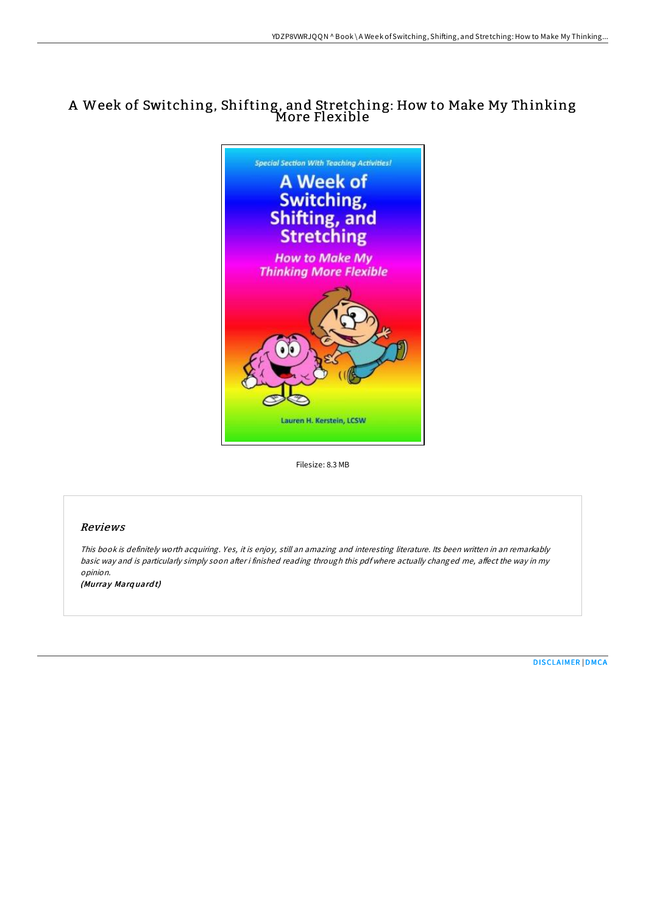## <sup>A</sup> Week of Switching, Shifting, and Stretching: How to Make My Thinking More Flexible



Filesize: 8.3 MB

## Reviews

This book is definitely worth acquiring. Yes, it is enjoy, still an amazing and interesting literature. Its been written in an remarkably basic way and is particularly simply soon after i finished reading through this pdf where actually changed me, affect the way in my opinion.

(Murray Marq uard t)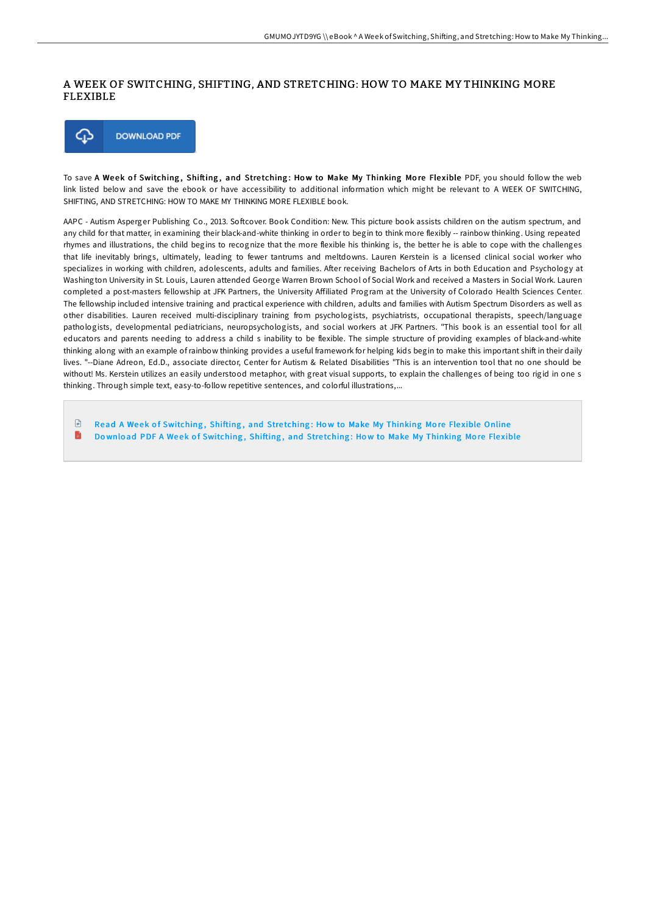## A WEEK OF SWITCHING, SHIFTING, AND STRETCHING: HOW TO MAKE MY THINKING MORE FLEXIBLE



To save A Week of Switching, Shifting, and Stretching: How to Make My Thinking More Flexible PDF, you should follow the web link listed below and save the ebook or have accessibility to additional information which might be relevant to A WEEK OF SWITCHING, SHIFTING, AND STRETCHING: HOW TO MAKE MY THINKING MORE FLEXIBLE book.

AAPC - Autism Asperger Publishing Co., 2013. Softcover. Book Condition: New. This picture book assists children on the autism spectrum, and any child for that matter, in examining their black-and-white thinking in order to begin to think more flexibly -- rainbow thinking. Using repeated rhymes and illustrations, the child begins to recognize that the more flexible his thinking is, the better he is able to cope with the challenges that life inevitably brings, ultimately, leading to fewer tantrums and meltdowns. Lauren Kerstein is a licensed clinical social worker who specializes in working with children, adolescents, adults and families. After receiving Bachelors of Arts in both Education and Psychology at Washington University in St. Louis, Lauren attended George Warren Brown School of Social Work and received a Masters in Social Work. Lauren completed a post-masters fellowship at JFK Partners, the University AFiliated Program at the University of Colorado Health Sciences Center. The fellowship included intensive training and practical experience with children, adults and families with Autism Spectrum Disorders as well as other disabilities. Lauren received multi-disciplinary training from psychologists, psychiatrists, occupational therapists, speech/language pathologists, developmental pediatricians, neuropsychologists, and social workers at JFK Partners. "This book is an essential tool for all educators and parents needing to address a child s inability to be flexible. The simple structure of providing examples of black-and-white thinking along with an example ofrainbow thinking provides a useful framework for helping kids begin to make this important shift in their daily lives. "--Diane Adreon, Ed.D., associate director, Center for Autism & Related Disabilities "This is an intervention tool that no one should be without! Ms. Kerstein utilizes an easily understood metaphor, with great visual supports, to explain the challenges of being too rigid in one s thinking. Through simple text, easy-to-follow repetitive sentences, and colorful illustrations,...

 $\mathbb{P}$ Read A Week of [Switching](http://almighty24.tech/a-week-of-switching-shifting-and-stretching-how-.html), Shifting, and Stretching: How to Make My Thinking More Flexible Online h Download PDF A Week of [Switching](http://almighty24.tech/a-week-of-switching-shifting-and-stretching-how-.html), Shifting, and Stretching: How to Make My Thinking More Flexible